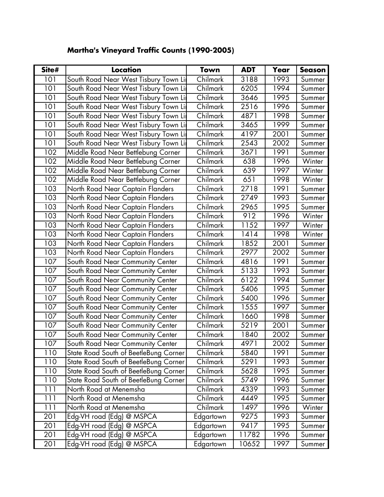| Site# | Location                              | Town      | <b>ADT</b> | Year | <b>Season</b> |
|-------|---------------------------------------|-----------|------------|------|---------------|
| 101   | South Road Near West Tisbury Town Lir | Chilmark  | 3188       | 1993 | Summer        |
| 101   | South Road Near West Tisbury Town Lir | Chilmark  | 6205       | 1994 | Summer        |
| 101   | South Road Near West Tisbury Town Lir | Chilmark  | 3646       | 1995 | Summer        |
| 101   | South Road Near West Tisbury Town Lir | Chilmark  | 2516       | 1996 | Summer        |
| 101   | South Road Near West Tisbury Town Lir | Chilmark  | 4871       | 1998 | Summer        |
| 101   | South Road Near West Tisbury Town Li  | Chilmark  | 3465       | 1999 | Summer        |
| 101   | South Road Near West Tisbury Town Lir | Chilmark  | 4197       | 2001 | Summer        |
| 101   | South Road Near West Tisbury Town Lir | Chilmark  | 2543       | 2002 | Summer        |
| 102   | Middle Road Near Bettlebung Corner    | Chilmark  | 3671       | 1991 | Summer        |
| 102   | Middle Road Near Bettlebung Corner    | Chilmark  | 638        | 1996 | Winter        |
| 102   | Middle Road Near Bettlebung Corner    | Chilmark  | 639        | 1997 | Winter        |
| 102   | Middle Road Near Bettlebung Corner    | Chilmark  | 651        | 1998 | Winter        |
| 103   | North Road Near Captain Flanders      | Chilmark  | 2718       | 1991 | Summer        |
| 103   | North Road Near Captain Flanders      | Chilmark  | 2749       | 1993 | Summer        |
| 103   | North Road Near Captain Flanders      | Chilmark  | 2965       | 1995 | Summer        |
| 103   | North Road Near Captain Flanders      | Chilmark  | 912        | 1996 | Winter        |
| 103   | North Road Near Captain Flanders      | Chilmark  | 1152       | 1997 | Winter        |
| 103   | North Road Near Captain Flanders      | Chilmark  | 1414       | 1998 | Winter        |
| 103   | North Road Near Captain Flanders      | Chilmark  | 1852       | 2001 | Summer        |
| 103   | North Road Near Captain Flanders      | Chilmark  | 2977       | 2002 | Summer        |
| 107   | South Road Near Community Center      | Chilmark  | 4816       | 1991 | Summer        |
| 107   | South Road Near Community Center      | Chilmark  | 5133       | 1993 | Summer        |
| 107   | South Road Near Community Center      | Chilmark  | 6122       | 1994 | Summer        |
| 107   | South Road Near Community Center      | Chilmark  | 5406       | 1995 | Summer        |
| 107   | South Road Near Community Center      | Chilmark  | 5400       | 1996 | Summer        |
| 107   | South Road Near Community Center      | Chilmark  | 1555       | 1997 | Summer        |
| 107   | South Road Near Community Center      | Chilmark  | 1660       | 1998 | Summer        |
| 107   | South Road Near Community Center      | Chilmark  | 5219       | 2001 | Summer        |
| 107   | South Road Near Community Center      | Chilmark  | 1840       | 2002 | Summer        |
| 107   | South Road Near Community Center      | Chilmark  | 4971       | 2002 | Summer        |
| 110   | State Road South of BeetleBung Corner | Chilmark  | 5840       | 1991 | Summer        |
| 110   | State Road South of BeetleBung Corner | Chilmark  | 5291       | 1993 | Summer        |
| 110   | State Road South of BeetleBung Corner | Chilmark  | 5628       | 1995 | Summer        |
| 110   | State Road South of BeetleBung Corner | Chilmark  | 5749       | 1996 | Summer        |
| 111   | North Road at Menemsha                | Chilmark  | 4339       | 1993 | Summer        |
| 111   | North Road at Menemsha                | Chilmark  | 4449       | 1995 | Summer        |
| 111   | North Road at Menemsha                | Chilmark  | 1497       | 1996 | Winter        |
| 201   | Edg-VH road (Edg) @ MSPCA             | Edgartown | 9275       | 1993 | Summer        |
| 201   | Edg-VH road (Edg) @ MSPCA             | Edgartown | 9417       | 1995 | Summer        |
| 201   | Edg-VH road (Edg) @ MSPCA             | Edgartown | 11782      | 1996 | Summer        |
| 201   | Edg-VH road (Edg) @ MSPCA             | Edgartown | 10652      | 1997 | Summer        |

## **Martha's Vineyard Traffic Counts (1990-2005)**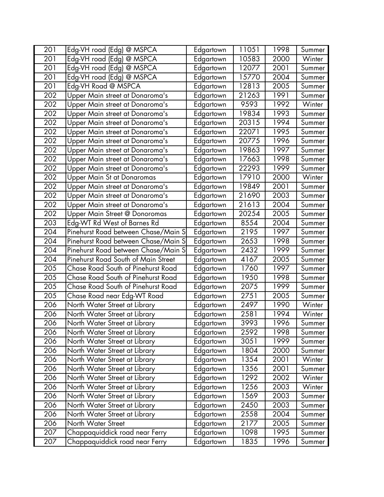| 201 | Edg-VH road (Edg) @ MSPCA           | Edgartown | 11051 | 1998 | Summer |
|-----|-------------------------------------|-----------|-------|------|--------|
| 201 | Edg-VH road (Edg) @ MSPCA           | Edgartown | 10583 | 2000 | Winter |
| 201 | Edg-VH road (Edg) @ MSPCA           | Edgartown | 12077 | 2001 | Summer |
| 201 | Edg-VH road (Edg) @ MSPCA           | Edgartown | 15770 | 2004 | Summer |
| 201 | Edg-VH Road @ MSPCA                 | Edgartown | 12813 | 2005 | Summer |
| 202 | Upper Main street at Donaroma's     | Edgartown | 21263 | 1991 | Summer |
| 202 | Upper Main street at Donaroma's     | Edgartown | 9593  | 1992 | Winter |
| 202 | Upper Main street at Donaroma's     | Edgartown | 19834 | 1993 | Summer |
| 202 | Upper Main street at Donaroma's     | Edgartown | 20315 | 1994 | Summer |
| 202 | Upper Main street at Donaroma's     | Edgartown | 22071 | 1995 | Summer |
| 202 | Upper Main street at Donaroma's     | Edgartown | 20775 | 1996 | Summer |
| 202 | Upper Main street at Donaroma's     | Edgartown | 19863 | 1997 | Summer |
| 202 | Upper Main street at Donaroma's     | Edgartown | 17663 | 1998 | Summer |
| 202 | Upper Main street at Donaroma's     | Edgartown | 22293 | 1999 | Summer |
| 202 | Upper Main St at Donaromas          | Edgartown | 17910 | 2000 | Winter |
| 202 | Upper Main street at Donaroma's     | Edgartown | 19849 | 2001 | Summer |
| 202 | Upper Main street at Donaroma's     | Edgartown | 21690 | 2003 | Summer |
| 202 | Upper Main street at Donaroma's     | Edgartown | 21613 | 2004 | Summer |
| 202 | Upper Main Street @ Donoromas       | Edgartown | 20254 | 2005 | Summer |
| 203 | Edg-WT Rd West of Barnes Rd         | Edgartown | 8554  | 2004 | Summer |
| 204 | Pinehurst Road between Chase/Main S | Edgartown | 2195  | 1997 | Summer |
| 204 | Pinehurst Road between Chase/Main S | Edgartown | 2653  | 1998 | Summer |
| 204 | Pinehurst Road between Chase/Main S | Edgartown | 2432  | 1999 | Summer |
| 204 | Pinehurst Road South of Main Street | Edgartown | 4167  | 2005 | Summer |
| 205 | Chase Road South of Pinehurst Road  | Edgartown | 1760  | 1997 | Summer |
| 205 | Chase Road South of Pinehurst Road  | Edgartown | 1950  | 1998 | Summer |
| 205 | Chase Road South of Pinehurst Road  | Edgartown | 2075  | 1999 | Summer |
| 205 | Chase Road near Edg-WT Road         | Edgartown | 2751  | 2005 | Summer |
| 206 | North Water Street at Library       | Edgartown | 2497  | 1990 | Winter |
| 206 | North Water Street at Library       | Edgartown | 2581  | 1994 | Winter |
| 206 | North Water Street at Library       | Edgartown | 3993  | 1996 | Summer |
| 206 | North Water Street at Library       | Edgartown | 2592  | 1998 | Summer |
| 206 | North Water Street at Library       | Edgartown | 3051  | 1999 | Summer |
| 206 | North Water Street at Library       | Edgartown | 1804  | 2000 | Summer |
| 206 | North Water Street at Library       | Edgartown | 1354  | 2001 | Winter |
| 206 | North Water Street at Library       | Edgartown | 1356  | 2001 | Summer |
| 206 | North Water Street at Library       | Edgartown | 1292  | 2002 | Winter |
| 206 | North Water Street at Library       | Edgartown | 1256  | 2003 | Winter |
| 206 | North Water Street at Library       | Edgartown | 1569  | 2003 | Summer |
| 206 | North Water Street at Library       | Edgartown | 2450  | 2003 | Summer |
| 206 | North Water Street at Library       | Edgartown | 2558  | 2004 | Summer |
| 206 | North Water Street                  | Edgartown | 2177  | 2005 | Summer |
| 207 | Chappaquiddick road near Ferry      | Edgartown | 1098  | 1995 | Summer |
| 207 | Chappaquiddick road near Ferry      | Edgartown | 1835  | 1996 | Summer |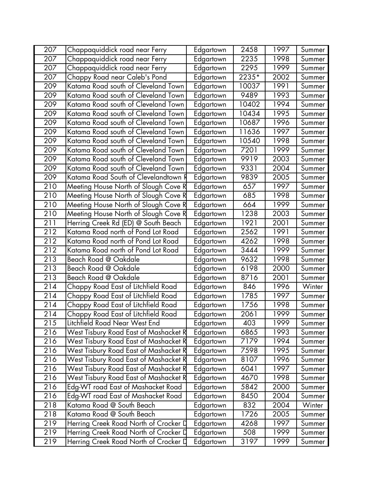| 207              | Chappaquiddick road near Ferry        | Edgartown | 2458  | 1997 | Summer |
|------------------|---------------------------------------|-----------|-------|------|--------|
| 207              | Chappaquiddick road near Ferry        | Edgartown | 2235  | 1998 | Summer |
| 207              | Chappaquiddick road near Ferry        | Edgartown | 2295  | 1999 | Summer |
| 207              | Chappy Road near Caleb's Pond         | Edgartown | 2235* | 2002 | Summer |
| 209              | Katama Road south of Cleveland Town   | Edgartown | 10037 | 1991 | Summer |
| 209              | Katama Road south of Cleveland Town   | Edgartown | 9489  | 1993 | Summer |
| 209              | Katama Road south of Cleveland Town   | Edgartown | 10402 | 1994 | Summer |
| 209              | Katama Road south of Cleveland Town   | Edgartown | 10434 | 1995 | Summer |
| 209              | Katama Road south of Cleveland Town   | Edgartown | 10687 | 1996 | Summer |
| 209              | Katama Road south of Cleveland Town   | Edgartown | 11636 | 1997 | Summer |
| 209              | Katama Road south of Cleveland Town   | Edgartown | 10540 | 1998 | Summer |
| 209              | Katama Road south of Cleveland Town   | Edgartown | 7201  | 1999 | Summer |
| 209              | Katama Road south of Cleveland Town   | Edgartown | 9919  | 2003 | Summer |
| 209              | Katama Road south of Cleveland Town   | Edgartown | 9331  | 2004 | Summer |
| 209              | Katama Road South of Clevelandtown R  | Edgartown | 9839  | 2005 | Summer |
| 210              | Meeting House North of Slough Cove R  | Edgartown | 657   | 1997 | Summer |
| 210              | Meeting House North of Slough Cove R  | Edgartown | 685   | 1998 | Summer |
| 210              | Meeting House North of Slough Cove R  | Edgartown | 664   | 1999 | Summer |
| $\overline{2}10$ | Meeting House North of Slough Cove R  | Edgartown | 1238  | 2003 | Summer |
| 211              | Herring Creek Rd (ED) @ South Beach   | Edgartown | 1921  | 2001 | Summer |
| 212              | Katama Road north of Pond Lot Road    | Edgartown | 2562  | 1991 | Summer |
| 212              | Katama Road north of Pond Lot Road    | Edgartown | 4262  | 1998 | Summer |
| 212              | Katama Road north of Pond Lot Road    | Edgartown | 3444  | 1999 | Summer |
| 213              | Beach Road @ Oakdale                  | Edgartown | 9632  | 1998 | Summer |
| 213              | Beach Road @ Oakdale                  | Edgartown | 6198  | 2000 | Summer |
| 213              | Beach Road @ Oakdale                  | Edgartown | 8716  | 2001 | Summer |
| 214              | Chappy Road East of Litchfield Road   | Edgartown | 846   | 1996 | Winter |
| 214              | Chappy Road East of Litchfield Road   | Edgartown | 1785  | 1997 | Summer |
| 214              | Chappy Road East of Litchfield Road   | Edgartown | 1756  | 1998 | Summer |
| 214              | Chappy Road East of Litchfield Road   | Edgartown | 2061  | 1999 | Summer |
| 215              | Litchfield Road Near West End         | Edgartown | 403   | 1999 | Summer |
| 216              | West Tisbury Road East of Mashacket R | Edgartown | 6865  | 1993 | Summer |
| 216              | West Tisbury Road East of Mashacket R | Edgartown | 7179  | 1994 | Summer |
| 216              | West Tisbury Road East of Mashacket R | Edgartown | 7598  | 1995 | Summer |
| 216              | West Tisbury Road East of Mashacket R | Edgartown | 8107  | 1996 | Summer |
| 216              | West Tisbury Road East of Mashacket R | Edgartown | 6041  | 1997 | Summer |
| 216              | West Tisbury Road East of Mashacket R | Edgartown | 4670  | 1998 | Summer |
| 216              | Edg-WT road East of Mashacket Road    | Edgartown | 5842  | 2000 | Summer |
| 216              | Edg-WT road East of Mashacket Road    | Edgartown | 8450  | 2004 | Summer |
| 218              | Katama Road @ South Beach             | Edgartown | 832   | 2004 | Winter |
| 218              | Katama Road @ South Beach             | Edgartown | 1726  | 2005 | Summer |
| 219              | Herring Creek Road North of Crocker D | Edgartown | 4268  | 1997 | Summer |
| 219              | Herring Creek Road North of Crocker D | Edgartown | 508   | 1999 | Summer |
| 219              | Herring Creek Road North of Crocker D | Edgartown | 3197  | 1999 | Summer |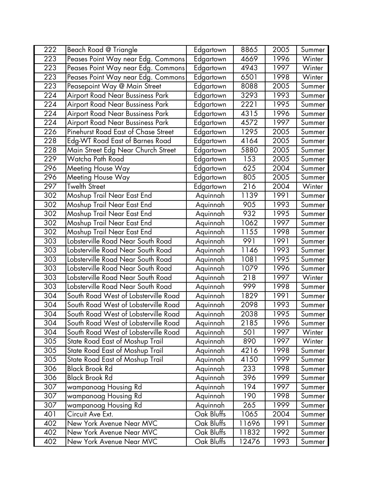| 222              | Beach Road @ Triangle                | Edgartown  | 8865  | 2005 | Summer |
|------------------|--------------------------------------|------------|-------|------|--------|
| 223              | Peases Point Way near Edg. Commons   | Edgartown  | 4669  | 1996 | Winter |
| 223              | Peases Point Way near Edg. Commons   | Edgartown  | 4943  | 1997 | Winter |
| 223              | Peases Point Way near Edg. Commons   | Edgartown  | 6501  | 1998 | Winter |
| 223              | Peasepoint Way @ Main Street         | Edgartown  | 8088  | 2005 | Summer |
| 224              | Airport Road Near Bussiness Park     | Edgartown  | 3293  | 1993 | Summer |
| 224              | Airport Road Near Bussiness Park     | Edgartown  | 2221  | 1995 | Summer |
| 224              | Airport Road Near Bussiness Park     | Edgartown  | 4315  | 1996 | Summer |
| 224              | Airport Road Near Bussiness Park     | Edgartown  | 4572  | 1997 | Summer |
| 226              | Pinehurst Road East of Chase Street  | Edgartown  | 1295  | 2005 | Summer |
| 228              | Edg-WT Road East of Barnes Road      | Edgartown  | 4164  | 2005 | Summer |
| 228              | Main Street Edg Near Church Street   | Edgartown  | 5880  | 2005 | Summer |
| 229              | Watcha Path Road                     | Edgartown  | 153   | 2005 | Summer |
| 296              | Meeting House Way                    | Edgartown  | 625   | 2004 | Summer |
| 296              | Meeting House Way                    | Edgartown  | 805   | 2005 | Summer |
| 297              | <b>Twelth Street</b>                 | Edgartown  | 216   | 2004 | Winter |
| 302              | Moshup Trail Near East End           | Aquinnah   | 1139  | 1991 | Summer |
| 302              | Moshup Trail Near East End           | Aquinnah   | 905   | 1993 | Summer |
| 302              | Moshup Trail Near East End           | Aquinnah   | 932   | 1995 | Summer |
| 302              | Moshup Trail Near East End           | Aquinnah   | 1062  | 1997 | Summer |
| 302              | Moshup Trail Near East End           | Aquinnah   | 1155  | 1998 | Summer |
| 303              | Lobsterville Road Near South Road    | Aquinnah   | 991   | 1991 | Summer |
| 303              | Lobsterville Road Near South Road    | Aquinnah   | 1146  | 1993 | Summer |
| 303              | Lobsterville Road Near South Road    | Aquinnah   | 1081  | 1995 | Summer |
| 303              | Lobsterville Road Near South Road    | Aquinnah   | 1079  | 1996 | Summer |
| $\overline{3}03$ | Lobsterville Road Near South Road    | Aquinnah   | 218   | 1997 | Winter |
| 303              | Lobsterville Road Near South Road    | Aquinnah   | 999   | 1998 | Summer |
| 304              | South Road West of Lobsterville Road | Aquinnah   | 1829  | 1991 | Summer |
| 304              | South Road West of Lobsterville Road | Aquinnah   | 2098  | 1993 | Summer |
| 304              | South Road West of Lobsterville Road | Aquinnah   | 2038  | 1995 | Summer |
| 304              | South Road West of Lobsterville Road | Aquinnah   | 2185  | 1996 | Summer |
| 304              | South Road West of Lobsterville Road | Aquinnah   | 501   | 1997 | Winter |
| 305              | State Road East of Moshup Trail      | Aquinnah   | 890   | 1997 | Winter |
| 305              | State Road East of Moshup Trail      | Aquinnah   | 4216  | 1998 | Summer |
| 305              | State Road East of Moshup Trail      | Aquinnah   | 4150  | 1999 | Summer |
| 306              | <b>Black Brook Rd</b>                | Aquinnah   | 233   | 1998 | Summer |
| 306              | <b>Black Brook Rd</b>                | Aquinnah   | 396   | 1999 | Summer |
| 307              | wampanoag Housing Rd                 | Aquinnah   | 194   | 1997 | Summer |
| 307              | wampanoag Housing Rd                 | Aquinnah   | 190   | 1998 | Summer |
| $\overline{3}07$ | wampanoag Housing Rd                 | Aquinnah   | 265   | 1999 | Summer |
| 401              | Circuit Ave Ext.                     | Oak Bluffs | 1065  | 2004 | Summer |
| 402              | New York Avenue Near MVC             | Oak Bluffs | 11696 | 1991 | Summer |
| 402              | New York Avenue Near MVC             | Oak Bluffs | 11832 | 1992 | Summer |
| 402              | New York Avenue Near MVC             | Oak Bluffs | 12476 | 1993 | Summer |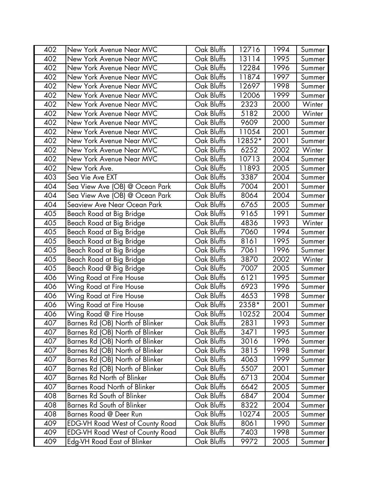| 402 | New York Avenue Near MVC               | Oak Bluffs | 12716  | 1994 | Summer |
|-----|----------------------------------------|------------|--------|------|--------|
| 402 | New York Avenue Near MVC               | Oak Bluffs | 13114  | 1995 | Summer |
| 402 | New York Avenue Near MVC               | Oak Bluffs | 12284  | 1996 | Summer |
| 402 | New York Avenue Near MVC               | Oak Bluffs | 11874  | 1997 | Summer |
| 402 | New York Avenue Near MVC               | Oak Bluffs | 12697  | 1998 | Summer |
| 402 | New York Avenue Near MVC               | Oak Bluffs | 12006  | 1999 | Summer |
| 402 | New York Avenue Near MVC               | Oak Bluffs | 2323   | 2000 | Winter |
| 402 | New York Avenue Near MVC               | Oak Bluffs | 5182   | 2000 | Winter |
| 402 | New York Avenue Near MVC               | Oak Bluffs | 9609   | 2000 | Summer |
| 402 | New York Avenue Near MVC               | Oak Bluffs | 11054  | 2001 | Summer |
| 402 | New York Avenue Near MVC               | Oak Bluffs | 12852* | 2001 | Summer |
| 402 | New York Avenue Near MVC               | Oak Bluffs | 6252   | 2002 | Winter |
| 402 | New York Avenue Near MVC               | Oak Bluffs | 10713  | 2004 | Summer |
| 402 | New York Ave.                          | Oak Bluffs | 11893  | 2005 | Summer |
| 403 | Sea Vie Ave EXT                        | Oak Bluffs | 3387   | 2004 | Summer |
| 404 | Sea View Ave (OB) @ Ocean Park         | Oak Bluffs | 7004   | 2001 | Summer |
| 404 | Sea View Ave (OB) @ Ocean Park         | Oak Bluffs | 8064   | 2004 | Summer |
| 404 | Seaview Ave Near Ocean Park            | Oak Bluffs | 6765   | 2005 | Summer |
| 405 | Beach Road at Big Bridge               | Oak Bluffs | 9165   | 1991 | Summer |
| 405 | Beach Road at Big Bridge               | Oak Bluffs | 4836   | 1993 | Winter |
| 405 | Beach Road at Big Bridge               | Oak Bluffs | 7060   | 1994 | Summer |
| 405 | Beach Road at Big Bridge               | Oak Bluffs | 8161   | 1995 | Summer |
| 405 | Beach Road at Big Bridge               | Oak Bluffs | 7061   | 1996 | Summer |
| 405 | Beach Road at Big Bridge               | Oak Bluffs | 3870   | 2002 | Winter |
| 405 | Beach Road @ Big Bridge                | Oak Bluffs | 7007   | 2005 | Summer |
| 406 | Wing Road at Fire House                | Oak Bluffs | 6121   | 1995 | Summer |
| 406 | Wing Road at Fire House                | Oak Bluffs | 6923   | 1996 | Summer |
| 406 | Wing Road at Fire House                | Oak Bluffs | 4653   | 1998 | Summer |
| 406 | Wing Road at Fire House                | Oak Bluffs | 2358*  | 2001 | Summer |
| 406 | Wing Road @ Fire House                 | Oak Bluffs | 10252  | 2004 | Summer |
| 407 | Barnes Rd (OB) North of Blinker        | Oak Bluffs | 2831   | 1993 | Summer |
| 407 | Barnes Rd (OB) North of Blinker        | Oak Bluffs | 3471   | 1995 | Summer |
| 407 | Barnes Rd (OB) North of Blinker        | Oak Bluffs | 3016   | 1996 | Summer |
| 407 | Barnes Rd (OB) North of Blinker        | Oak Bluffs | 3815   | 1998 | Summer |
| 407 | Barnes Rd (OB) North of Blinker        | Oak Bluffs | 4063   | 1999 | Summer |
| 407 | Barnes Rd (OB) North of Blinker        | Oak Bluffs | 5507   | 2001 | Summer |
| 407 | Barnes Rd North of Blinker             | Oak Bluffs | 6713   | 2004 | Summer |
| 407 | <b>Barnes Road North of Blinker</b>    | Oak Bluffs | 6642   | 2005 | Summer |
| 408 | Barnes Rd South of Blinker             | Oak Bluffs | 6847   | 2004 | Summer |
| 408 | Barnes Rd South of Blinker             | Oak Bluffs | 8322   | 2004 | Summer |
| 408 | Barnes Road @ Deer Run                 | Oak Bluffs | 10274  | 2005 | Summer |
| 409 | <b>EDG-VH Road West of County Road</b> | Oak Bluffs | 8061   | 1990 | Summer |
| 409 | <b>EDG-VH Road West of County Road</b> | Oak Bluffs | 7403   | 1998 | Summer |
| 409 | Edg-VH Road East of Blinker            | Oak Bluffs | 9972   | 2005 | Summer |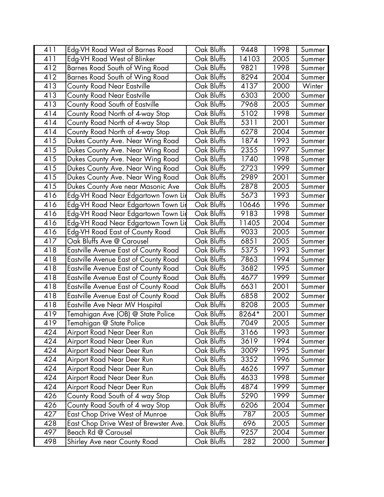| 411 | Edg-VH Road West of Barnes Road             | Oak Bluffs | 9448  | 1998 | Summer |
|-----|---------------------------------------------|------------|-------|------|--------|
| 411 | Edg-VH Road West of Blinker                 | Oak Bluffs | 14103 | 2005 | Summer |
| 412 | Barnes Road South of Wing Road              | Oak Bluffs | 9821  | 1998 | Summer |
| 412 | Barnes Road South of Wing Road              | Oak Bluffs | 8294  | 2004 | Summer |
| 413 | County Road Near Eastville                  | Oak Bluffs | 4137  | 2000 | Winter |
| 413 | <b>County Road Near Eastville</b>           | Oak Bluffs | 6303  | 2000 | Summer |
| 413 | County Road South of Eastville              | Oak Bluffs | 7968  | 2005 | Summer |
| 414 | County Road North of 4-way Stop             | Oak Bluffs | 5102  | 1998 | Summer |
| 414 | County Road North of 4-way Stop             | Oak Bluffs | 5311  | 2001 | Summer |
| 414 | County Road North of 4-way Stop             | Oak Bluffs | 6278  | 2004 | Summer |
| 415 | Dukes County Ave. Near Wing Road            | Oak Bluffs | 1874  | 1993 | Summer |
| 415 | Dukes County Ave. Near Wing Road            | Oak Bluffs | 2355  | 1997 | Summer |
| 415 | Dukes County Ave. Near Wing Road            | Oak Bluffs | 1740  | 1998 | Summer |
| 415 | Dukes County Ave. Near Wing Road            | Oak Bluffs | 2723  | 1999 | Summer |
| 415 | Dukes County Ave. Near Wing Road            | Oak Bluffs | 2989  | 2001 | Summer |
| 415 | Dukes County Ave near Masonic Ave           | Oak Bluffs | 2878  | 2005 | Summer |
| 416 | Edg-VH Road Near Edgartown Town Lir         | Oak Bluffs | 5673  | 1993 | Summer |
| 416 | Edg-VH Road Near Edgartown Town Lir         | Oak Bluffs | 10646 | 1996 | Summer |
| 416 | Edg-VH Road Near Edgartown Town Lir         | Oak Bluffs | 9183  | 1998 | Summer |
| 416 | Edg-VH Road Near Edgartown Town Lir         | Oak Bluffs | 11405 | 2004 | Summer |
| 416 | Edg-VH Road East of County Road             | Oak Bluffs | 9033  | 2005 | Summer |
| 417 | Oak Bluffs Ave @ Carousel                   | Oak Bluffs | 6851  | 2005 | Summer |
| 418 | <b>Eastville Avenue East of County Road</b> | Oak Bluffs | 5375  | 1993 | Summer |
| 418 | Eastville Avenue East of County Road        | Oak Bluffs | 7863  | 1994 | Summer |
| 418 | Eastville Avenue East of County Road        | Oak Bluffs | 3682  | 1995 | Summer |
| 418 | Eastville Avenue East of County Road        | Oak Bluffs | 4677  | 1999 | Summer |
| 418 | Eastville Avenue East of County Road        | Oak Bluffs | 6631  | 2001 | Summer |
| 418 | Eastville Avenue East of County Road        | Oak Bluffs | 6858  | 2002 | Summer |
| 418 | Eastville Ave Near MV Hospital              | Oak Bluffs | 8208  | 2005 | Summer |
| 419 | Temahigan Ave (OB) @ State Police           | Oak Bluffs | 8264* | 2001 | Summer |
| 419 | Temahigan @ State Police                    | Oak Bluffs | 7049  | 2005 | Summer |
| 424 | Airport Road Near Deer Run                  | Oak Bluffs | 3166  | 1993 | Summer |
| 424 | Airport Road Near Deer Run                  | Oak Bluffs | 3619  | 1994 | Summer |
| 424 | Airport Road Near Deer Run                  | Oak Bluffs | 3009  | 1995 | Summer |
| 424 | Airport Road Near Deer Run                  | Oak Bluffs | 3352  | 1996 | Summer |
| 424 | Airport Road Near Deer Run                  | Oak Bluffs | 4626  | 1997 | Summer |
| 424 | Airport Road Near Deer Run                  | Oak Bluffs | 4633  | 1998 | Summer |
| 424 | Airport Road Near Deer Run                  | Oak Bluffs | 4874  | 1999 | Summer |
| 426 | County Road South of 4 way Stop             | Oak Bluffs | 5290  | 1999 | Summer |
| 426 | County Road South of 4 way Stop             | Oak Bluffs | 6206  | 2004 | Summer |
| 427 | <b>East Chop Drive West of Munroe</b>       | Oak Bluffs | 787   | 2005 | Summer |
| 428 | East Chop Drive West of Brewster Ave.       | Oak Bluffs | 696   | 2005 | Summer |
| 497 | Beach Rd @ Carousel                         | Oak Bluffs | 9257  | 2004 | Summer |
| 498 | Shirley Ave near County Road                | Oak Bluffs | 282   | 2000 | Summer |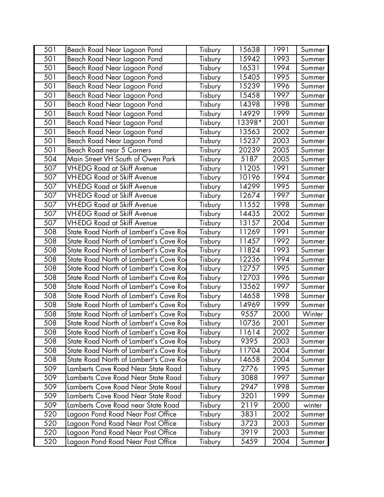| 501 | Beach Road Near Lagoon Pond            | Tisbury | 15638  | 1991 | Summer |
|-----|----------------------------------------|---------|--------|------|--------|
| 501 | Beach Road Near Lagoon Pond            | Tisbury | 15942  | 1993 | Summer |
| 501 | Beach Road Near Lagoon Pond            | Tisbury | 16531  | 1994 | Summer |
| 501 | Beach Road Near Lagoon Pond            | Tisbury | 15405  | 1995 | Summer |
| 501 | Beach Road Near Lagoon Pond            | Tisbury | 15239  | 1996 | Summer |
| 501 | Beach Road Near Lagoon Pond            | Tisbury | 15458  | 1997 | Summer |
| 501 | Beach Road Near Lagoon Pond            | Tisbury | 14398  | 1998 | Summer |
| 501 | Beach Road Near Lagoon Pond            | Tisbury | 14929  | 1999 | Summer |
| 501 | Beach Road Near Lagoon Pond            | Tisbury | 13398* | 2001 | Summer |
| 501 | Beach Road Near Lagoon Pond            | Tisbury | 13563  | 2002 | Summer |
| 501 | Beach Road Near Lagoon Pond            | Tisbury | 15237  | 2003 | Summer |
| 501 | Beach Road near 5 Corners              | Tisbury | 20239  | 2005 | Summer |
| 504 | Main Street VH South of Owen Park      | Tisbury | 5187   | 2005 | Summer |
| 507 | <b>VH-EDG Road at Skiff Avenue</b>     | Tisbury | 11205  | 1991 | Summer |
| 507 | <b>VH-EDG Road at Skiff Avenue</b>     | Tisbury | 10196  | 1994 | Summer |
| 507 | <b>VH-EDG Road at Skiff Avenue</b>     | Tisbury | 14299  | 1995 | Summer |
| 507 | <b>VH-EDG Road at Skiff Avenue</b>     | Tisbury | 12674  | 1997 | Summer |
| 507 | <b>VH-EDG Road at Skiff Avenue</b>     | Tisbury | 11552  | 1998 | Summer |
| 507 | <b>VH-EDG Road at Skiff Avenue</b>     | Tisbury | 14435  | 2002 | Summer |
| 507 | <b>VH-EDG Road at Skiff Avenue</b>     | Tisbury | 13157  | 2004 | Summer |
| 508 | State Road North of Lambert's Cove Ro  | Tisbury | 11269  | 1991 | Summer |
| 508 | State Road North of Lambert's Cove Ro  | Tisbury | 11457  | 1992 | Summer |
| 508 | State Road North of Lambert's Cove Ro  | Tisbury | 11824  | 1993 | Summer |
| 508 | State Road North of Lambert's Cove Ro  | Tisbury | 12236  | 1994 | Summer |
| 508 | State Road North of Lambert's Cove Ro  | Tisbury | 12757  | 1995 | Summer |
| 508 | State Road North of Lambert's Cove Ro  | Tisbury | 12703  | 1996 | Summer |
| 508 | State Road North of Lambert's Cove Roo | Tisbury | 13562  | 1997 | Summer |
| 508 | State Road North of Lambert's Cove Ro  | Tisbury | 14658  | 1998 | Summer |
| 508 | State Road North of Lambert's Cove Ro  | Tisbury | 14969  | 1999 | Summer |
| 508 | State Road North of Lambert's Cove Ro  | Tisbury | 9557   | 2000 | Winter |
| 508 | State Road North of Lambert's Cove Ro  | Tisbury | 10736  | 2001 | Summer |
| 508 | State Road North of Lambert's Cove Ro  | Tisbury | 11614  | 2002 | Summer |
| 508 | State Road North of Lambert's Cove Ro  | Tisbury | 9395   | 2003 | Summer |
| 508 | State Road North of Lambert's Cove Ro  | Tisbury | 11704  | 2004 | Summer |
| 508 | State Road North of Lambert's Cove Ro  | Tisbury | 14658  | 2004 | Summer |
| 509 | Lamberts Cove Road Near State Road     | Tisbury | 2776   | 1995 | Summer |
| 509 | Lamberts Cove Road Near State Road     | Tisbury | 3088   | 1997 | Summer |
| 509 | Lamberts Cove Road Near State Road     | Tisbury | 2947   | 1998 | Summer |
| 509 | Lamberts Cove Road Near State Road     | Tisbury | 3201   | 1999 | Summer |
| 509 | Lamberts Cove Road near State Road     | Tisbury | 2119   | 2000 | winter |
| 520 | Lagoon Pond Road Near Post Office      | Tisbury | 3831   | 2002 | Summer |
| 520 | Lagoon Pond Road Near Post Office      | Tisbury | 3723   | 2003 | Summer |
| 520 | Lagoon Pond Road Near Post Office      | Tisbury | 3919   | 2003 | Summer |
| 520 | Lagoon Pond Road Near Post Office      | Tisbury | 5459   | 2004 | Summer |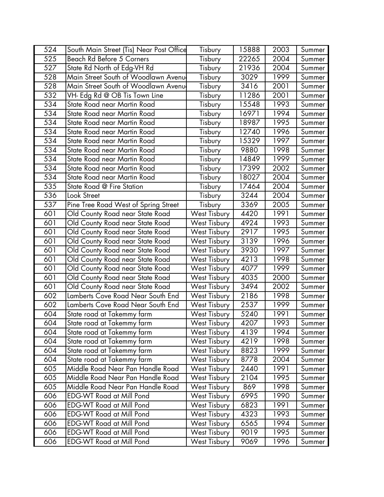| 524 | South Main Street (Tis) Near Post Office | Tisbury             | 15888 | 2003 | Summer |
|-----|------------------------------------------|---------------------|-------|------|--------|
| 525 | Beach Rd Before 5 Corners                | Tisbury             | 22265 | 2004 | Summer |
| 527 | State Rd North of Edg-VH Rd              | Tisbury             | 21936 | 2004 | Summer |
| 528 | Main Street South of Woodlawn Avenu      | Tisbury             | 3029  | 1999 | Summer |
| 528 | Main Street South of Woodlawn Avenu      | Tisbury             | 3416  | 2001 | Summer |
| 532 | VH- Edg Rd @ OB Tis Town Line            | Tisbury             | 11286 | 2001 | Summer |
| 534 | State Road near Martin Road              | Tisbury             | 15548 | 1993 | Summer |
| 534 | State Road near Martin Road              | Tisbury             | 16971 | 1994 | Summer |
| 534 | State Road near Martin Road              | Tisbury             | 18987 | 1995 | Summer |
| 534 | State Road near Martin Road              | Tisbury             | 12740 | 1996 | Summer |
| 534 | State Road near Martin Road              | Tisbury             | 15329 | 1997 | Summer |
| 534 | State Road near Martin Road              | Tisbury             | 9880  | 1998 | Summer |
| 534 | State Road near Martin Road              | Tisbury             | 14849 | 1999 | Summer |
| 534 | State Road near Martin Road              | Tisbury             | 17399 | 2002 | Summer |
| 534 | State Road near Martin Road              | Tisbury             | 18027 | 2004 | Summer |
| 535 | State Road @ Fire Station                | Tisbury             | 17464 | 2004 | Summer |
| 536 | Look Street                              | Tisbury             | 3244  | 2004 | Summer |
| 537 | Pine Tree Road West of Spring Street     | Tisbury             | 3369  | 2005 | Summer |
| 601 | Old County Road near State Road          | <b>West Tisbury</b> | 4420  | 1991 | Summer |
| 601 | Old County Road near State Road          | <b>West Tisbury</b> | 4924  | 1993 | Summer |
| 601 | Old County Road near State Road          | <b>West Tisbury</b> | 2917  | 1995 | Summer |
| 601 | Old County Road near State Road          | <b>West Tisbury</b> | 3139  | 1996 | Summer |
| 601 | Old County Road near State Road          | <b>West Tisbury</b> | 3930  | 1997 | Summer |
| 601 | Old County Road near State Road          | <b>West Tisbury</b> | 4213  | 1998 | Summer |
| 601 | Old County Road near State Road          | <b>West Tisbury</b> | 4077  | 1999 | Summer |
| 601 | Old County Road near State Road          | <b>West Tisbury</b> | 4035  | 2000 | Summer |
| 601 | Old County Road near State Road          | <b>West Tisbury</b> | 3494  | 2002 | Summer |
| 602 | Lamberts Cove Road Near South End        | <b>West Tisbury</b> | 2186  | 1998 | Summer |
| 602 | Lamberts Cove Road Near South End        | <b>West Tisbury</b> | 2537  | 1999 | Summer |
| 604 | State road at Takemmy farm               | <b>West Tisbury</b> | 5240  | 1991 | Summer |
| 604 | State road at Takemmy farm               | <b>West Tisbury</b> | 4207  | 1993 | Summer |
| 604 | State road at Takemmy farm               | <b>West Tisbury</b> | 4139  | 1994 | Summer |
| 604 | State road at Takemmy farm               | <b>West Tisbury</b> | 4219  | 1998 | Summer |
| 604 | State road at Takemmy farm               | West Tisbury        | 8823  | 1999 | Summer |
| 604 | State road at Takemmy farm               | <b>West Tisbury</b> | 8778  | 2004 | Summer |
| 605 | Middle Road Near Pan Handle Road         | <b>West Tisbury</b> | 2440  | 1991 | Summer |
| 605 | Middle Road Near Pan Handle Road         | <b>West Tisbury</b> | 2104  | 1995 | Summer |
| 605 | Middle Road Near Pan Handle Road         | <b>West Tisbury</b> | 869   | 1998 | Summer |
| 606 | <b>EDG-WT Road at Mill Pond</b>          | <b>West Tisbury</b> | 6995  | 1990 | Summer |
| 606 | <b>EDG-WT Road at Mill Pond</b>          | <b>West Tisbury</b> | 6823  | 1991 | Summer |
| 606 | <b>EDG-WT Road at Mill Pond</b>          | <b>West Tisbury</b> | 4323  | 1993 | Summer |
| 606 | <b>EDG-WT Road at Mill Pond</b>          | <b>West Tisbury</b> | 6565  | 1994 | Summer |
| 606 | <b>EDG-WT Road at Mill Pond</b>          | <b>West Tisbury</b> | 9019  | 1995 | Summer |
| 606 | <b>EDG-WT Road at Mill Pond</b>          | <b>West Tisbury</b> | 9069  | 1996 | Summer |